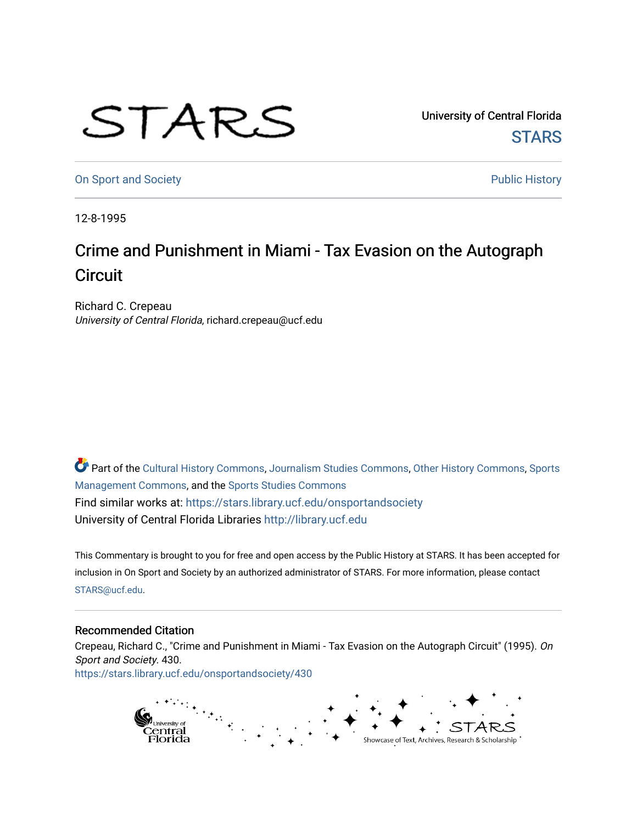## STARS

University of Central Florida **STARS** 

[On Sport and Society](https://stars.library.ucf.edu/onsportandsociety) **Public History** Public History

12-8-1995

## Crime and Punishment in Miami - Tax Evasion on the Autograph **Circuit**

Richard C. Crepeau University of Central Florida, richard.crepeau@ucf.edu

Part of the [Cultural History Commons](http://network.bepress.com/hgg/discipline/496?utm_source=stars.library.ucf.edu%2Fonsportandsociety%2F430&utm_medium=PDF&utm_campaign=PDFCoverPages), [Journalism Studies Commons,](http://network.bepress.com/hgg/discipline/333?utm_source=stars.library.ucf.edu%2Fonsportandsociety%2F430&utm_medium=PDF&utm_campaign=PDFCoverPages) [Other History Commons,](http://network.bepress.com/hgg/discipline/508?utm_source=stars.library.ucf.edu%2Fonsportandsociety%2F430&utm_medium=PDF&utm_campaign=PDFCoverPages) [Sports](http://network.bepress.com/hgg/discipline/1193?utm_source=stars.library.ucf.edu%2Fonsportandsociety%2F430&utm_medium=PDF&utm_campaign=PDFCoverPages) [Management Commons](http://network.bepress.com/hgg/discipline/1193?utm_source=stars.library.ucf.edu%2Fonsportandsociety%2F430&utm_medium=PDF&utm_campaign=PDFCoverPages), and the [Sports Studies Commons](http://network.bepress.com/hgg/discipline/1198?utm_source=stars.library.ucf.edu%2Fonsportandsociety%2F430&utm_medium=PDF&utm_campaign=PDFCoverPages) Find similar works at: <https://stars.library.ucf.edu/onsportandsociety> University of Central Florida Libraries [http://library.ucf.edu](http://library.ucf.edu/) 

This Commentary is brought to you for free and open access by the Public History at STARS. It has been accepted for inclusion in On Sport and Society by an authorized administrator of STARS. For more information, please contact [STARS@ucf.edu](mailto:STARS@ucf.edu).

## Recommended Citation

Crepeau, Richard C., "Crime and Punishment in Miami - Tax Evasion on the Autograph Circuit" (1995). On Sport and Society. 430. [https://stars.library.ucf.edu/onsportandsociety/430](https://stars.library.ucf.edu/onsportandsociety/430?utm_source=stars.library.ucf.edu%2Fonsportandsociety%2F430&utm_medium=PDF&utm_campaign=PDFCoverPages)

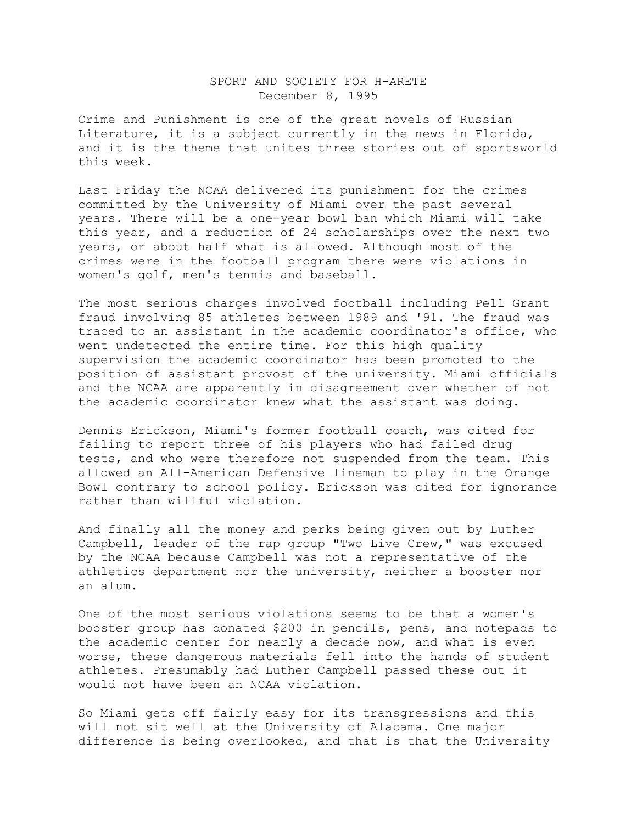## SPORT AND SOCIETY FOR H-ARETE December 8, 1995

Crime and Punishment is one of the great novels of Russian Literature, it is a subject currently in the news in Florida, and it is the theme that unites three stories out of sportsworld this week.

Last Friday the NCAA delivered its punishment for the crimes committed by the University of Miami over the past several years. There will be a one-year bowl ban which Miami will take this year, and a reduction of 24 scholarships over the next two years, or about half what is allowed. Although most of the crimes were in the football program there were violations in women's golf, men's tennis and baseball.

The most serious charges involved football including Pell Grant fraud involving 85 athletes between 1989 and '91. The fraud was traced to an assistant in the academic coordinator's office, who went undetected the entire time. For this high quality supervision the academic coordinator has been promoted to the position of assistant provost of the university. Miami officials and the NCAA are apparently in disagreement over whether of not the academic coordinator knew what the assistant was doing.

Dennis Erickson, Miami's former football coach, was cited for failing to report three of his players who had failed drug tests, and who were therefore not suspended from the team. This allowed an All-American Defensive lineman to play in the Orange Bowl contrary to school policy. Erickson was cited for ignorance rather than willful violation.

And finally all the money and perks being given out by Luther Campbell, leader of the rap group "Two Live Crew," was excused by the NCAA because Campbell was not a representative of the athletics department nor the university, neither a booster nor an alum.

One of the most serious violations seems to be that a women's booster group has donated \$200 in pencils, pens, and notepads to the academic center for nearly a decade now, and what is even worse, these dangerous materials fell into the hands of student athletes. Presumably had Luther Campbell passed these out it would not have been an NCAA violation.

So Miami gets off fairly easy for its transgressions and this will not sit well at the University of Alabama. One major difference is being overlooked, and that is that the University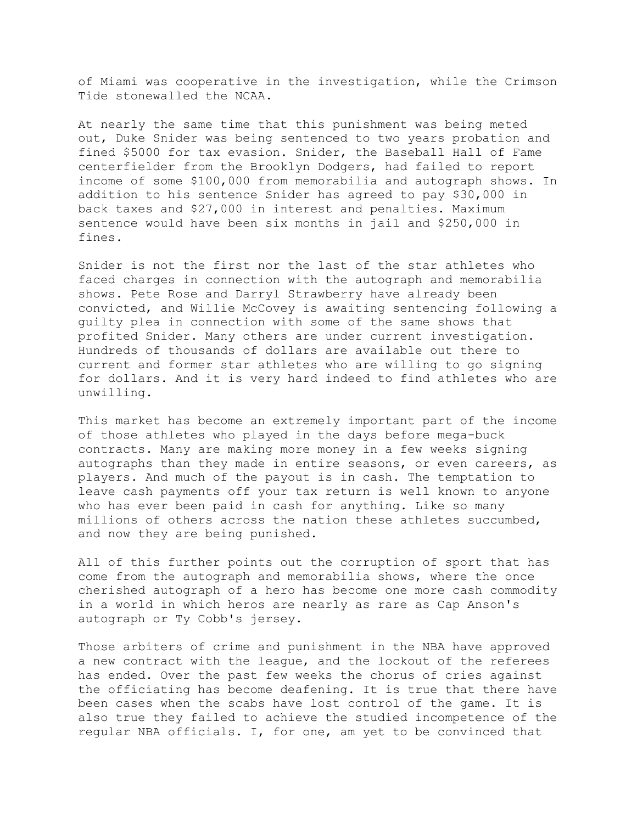of Miami was cooperative in the investigation, while the Crimson Tide stonewalled the NCAA.

At nearly the same time that this punishment was being meted out, Duke Snider was being sentenced to two years probation and fined \$5000 for tax evasion. Snider, the Baseball Hall of Fame centerfielder from the Brooklyn Dodgers, had failed to report income of some \$100,000 from memorabilia and autograph shows. In addition to his sentence Snider has agreed to pay \$30,000 in back taxes and \$27,000 in interest and penalties. Maximum sentence would have been six months in jail and \$250,000 in fines.

Snider is not the first nor the last of the star athletes who faced charges in connection with the autograph and memorabilia shows. Pete Rose and Darryl Strawberry have already been convicted, and Willie McCovey is awaiting sentencing following a guilty plea in connection with some of the same shows that profited Snider. Many others are under current investigation. Hundreds of thousands of dollars are available out there to current and former star athletes who are willing to go signing for dollars. And it is very hard indeed to find athletes who are unwilling.

This market has become an extremely important part of the income of those athletes who played in the days before mega-buck contracts. Many are making more money in a few weeks signing autographs than they made in entire seasons, or even careers, as players. And much of the payout is in cash. The temptation to leave cash payments off your tax return is well known to anyone who has ever been paid in cash for anything. Like so many millions of others across the nation these athletes succumbed, and now they are being punished.

All of this further points out the corruption of sport that has come from the autograph and memorabilia shows, where the once cherished autograph of a hero has become one more cash commodity in a world in which heros are nearly as rare as Cap Anson's autograph or Ty Cobb's jersey.

Those arbiters of crime and punishment in the NBA have approved a new contract with the league, and the lockout of the referees has ended. Over the past few weeks the chorus of cries against the officiating has become deafening. It is true that there have been cases when the scabs have lost control of the game. It is also true they failed to achieve the studied incompetence of the regular NBA officials. I, for one, am yet to be convinced that